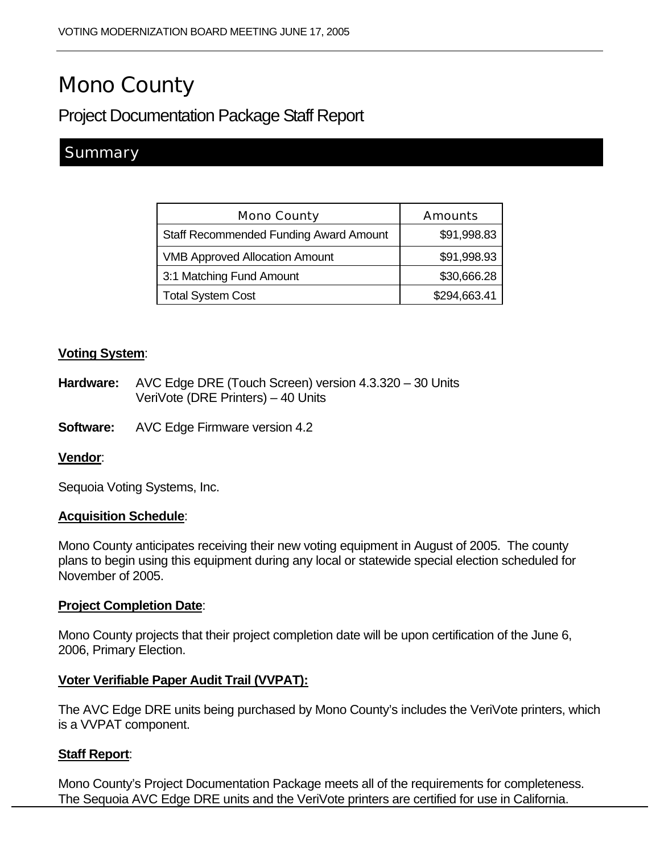# Mono County

## Project Documentation Package Staff Report

### **Summary**

| <b>Mono County</b>                            | <b>Amounts</b> |
|-----------------------------------------------|----------------|
| <b>Staff Recommended Funding Award Amount</b> | \$91,998.83    |
| <b>VMB Approved Allocation Amount</b>         | \$91,998.93    |
| 3:1 Matching Fund Amount                      | \$30,666.28    |
| <b>Total System Cost</b>                      | \$294,663.41   |

#### **Voting System**:

- **Hardware:** AVC Edge DRE (Touch Screen) version 4.3.320 30 Units VeriVote (DRE Printers) – 40 Units
- **Software:** AVC Edge Firmware version 4.2

#### **Vendor**:

Sequoia Voting Systems, Inc.

#### **Acquisition Schedule**:

Mono County anticipates receiving their new voting equipment in August of 2005. The county plans to begin using this equipment during any local or statewide special election scheduled for November of 2005.

#### **Project Completion Date**:

Mono County projects that their project completion date will be upon certification of the June 6, 2006, Primary Election.

#### **Voter Verifiable Paper Audit Trail (VVPAT):**

The AVC Edge DRE units being purchased by Mono County's includes the VeriVote printers, which is a VVPAT component.

#### **Staff Report**:

Mono County's Project Documentation Package meets all of the requirements for completeness. The Sequoia AVC Edge DRE units and the VeriVote printers are certified for use in California.